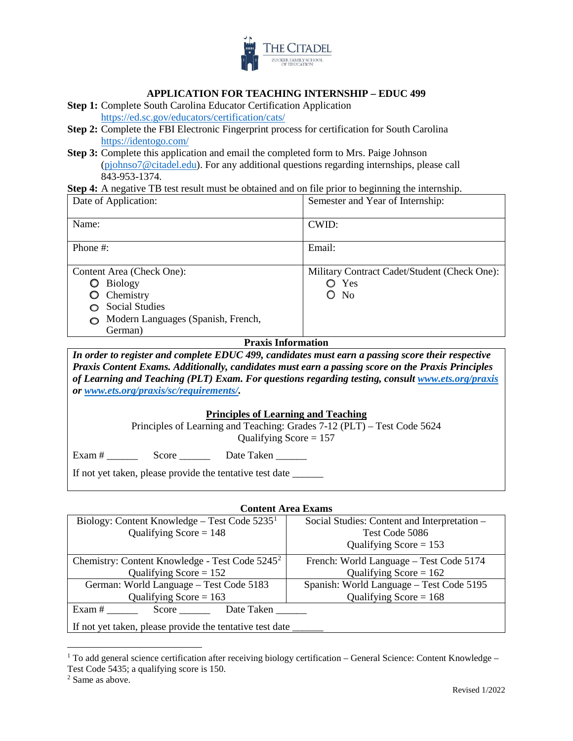

### **APPLICATION FOR TEACHING INTERNSHIP – EDUC 499**

- **Step 1:** Complete South Carolina Educator Certification Application <https://ed.sc.gov/educators/certification/cats/>
- **Step 2:** Complete the FBI Electronic Fingerprint process for certification for South Carolina <https://identogo.com/>
- **Step 3:** Complete this application and email the completed form to Mrs. Paige Johnson [\(pjohnso7@citadel.edu\)](mailto:pjohnso7@citadel.edu). For any additional questions regarding internships, please call 843-953-1374.

**Step 4:** A negative TB test result must be obtained and on file prior to beginning the internship.

| Date of Application:                    | Semester and Year of Internship:             |  |  |
|-----------------------------------------|----------------------------------------------|--|--|
| Name:                                   | CWID:                                        |  |  |
| Phone $#$ :                             | Email:                                       |  |  |
| Content Area (Check One):               | Military Contract Cadet/Student (Check One): |  |  |
| <b>Biology</b><br>O                     | O Yes                                        |  |  |
| Chemistry                               | No<br>O                                      |  |  |
| <b>Social Studies</b>                   |                                              |  |  |
| Modern Languages (Spanish, French,<br>∩ |                                              |  |  |
| German)                                 |                                              |  |  |

#### **Praxis Information**

*In order to register and complete EDUC 499, candidates must earn a passing score their respective Praxis Content Exams. Additionally, candidates must earn a passing score on the Praxis Principles of Learning and Teaching (PLT) Exam. For questions regarding testing, consult [www.ets.org/praxis](http://www.ets.org/praxis) or [www.ets.org/praxis/sc/requirements/.](http://www.ets.org/praxis/sc/requirements/)* 

#### **Principles of Learning and Teaching**

Principles of Learning and Teaching: Grades 7-12 (PLT) – Test Code 5624 Qualifying Score  $= 157$ 

Exam # \_\_\_\_\_\_ Score \_\_\_\_\_\_ Date Taken \_\_\_\_\_\_

If not yet taken, please provide the tentative test date \_\_\_\_\_\_\_

#### **Content Area Exams**

| Biology: Content Knowledge – Test Code $52351$             | Social Studies: Content and Interpretation - |  |  |  |
|------------------------------------------------------------|----------------------------------------------|--|--|--|
| Qualifying Score = $148$                                   | Test Code 5086                               |  |  |  |
|                                                            | Qualifying Score = $153$                     |  |  |  |
| Chemistry: Content Knowledge - Test Code 5245 <sup>2</sup> | French: World Language - Test Code 5174      |  |  |  |
| Qualifying Score = $152$                                   | Qualifying Score = $162$                     |  |  |  |
| German: World Language - Test Code 5183                    | Spanish: World Language - Test Code 5195     |  |  |  |
| Qualifying Score = $163$                                   | Qualifying Score = $168$                     |  |  |  |
| Exam#<br>Date Taken<br>Score                               |                                              |  |  |  |
| If not yet taken, please provide the tentative test date   |                                              |  |  |  |

<span id="page-0-0"></span><sup>&</sup>lt;sup>1</sup> To add general science certification after receiving biology certification – General Science: Content Knowledge – Test Code 5435; a qualifying score is 150.<br><sup>2</sup> Same as above.

<span id="page-0-1"></span>